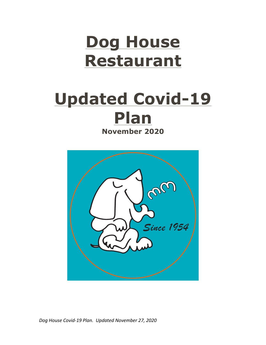# **Dog House Restaurant**

## **Updated Covid-19 Plan November 2020**

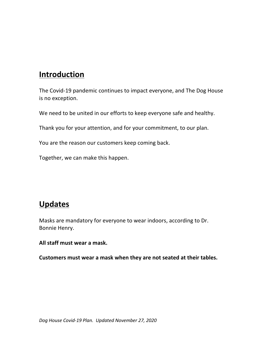### **Introduction**

The Covid-19 pandemic continues to impact everyone, and The Dog House is no exception.

We need to be united in our efforts to keep everyone safe and healthy.

Thank you for your attention, and for your commitment, to our plan.

You are the reason our customers keep coming back.

Together, we can make this happen.

#### **Updates**

Masks are mandatory for everyone to wear indoors, according to Dr. Bonnie Henry.

All staff must wear a mask.

**Customers must wear a mask when they are not seated at their tables.**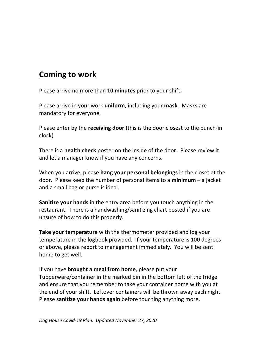#### **Coming to work**

Please arrive no more than 10 minutes prior to your shift.

Please arrive in your work **uniform**, including your **mask**. Masks are mandatory for everyone.

Please enter by the **receiving door** (this is the door closest to the punch-in clock).

There is a **health check** poster on the inside of the door. Please review it and let a manager know if you have any concerns.

When you arrive, please **hang your personal belongings** in the closet at the door. Please keep the number of personal items to a **minimum** – a jacket and a small bag or purse is ideal.

**Sanitize your hands** in the entry area before you touch anything in the restaurant. There is a handwashing/sanitizing chart posted if you are unsure of how to do this properly.

**Take your temperature** with the thermometer provided and log your temperature in the logbook provided. If your temperature is 100 degrees or above, please report to management immediately. You will be sent home to get well.

If you have **brought a meal from home**, please put your Tupperware/container in the marked bin in the bottom left of the fridge and ensure that you remember to take your container home with you at the end of your shift. Leftover containers will be thrown away each night. Please **sanitize your hands again** before touching anything more.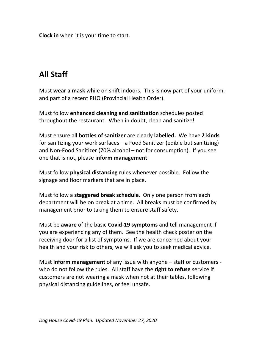**Clock in** when it is your time to start.

## **All Staff**

Must wear a mask while on shift indoors. This is now part of your uniform, and part of a recent PHO (Provincial Health Order).

**Must follow enhanced cleaning and sanitization** schedules posted throughout the restaurant. When in doubt, clean and sanitize!

Must ensure all **bottles of sanitizer** are clearly **labelled.** We have 2 kinds for sanitizing your work surfaces  $-$  a Food Sanitizer (edible but sanitizing) and Non-Food Sanitizer (70% alcohol – not for consumption). If you see one that is not, please inform management.

Must follow **physical distancing** rules whenever possible. Follow the signage and floor markers that are in place.

Must follow a **staggered break schedule**. Only one person from each department will be on break at a time. All breaks must be confirmed by management prior to taking them to ensure staff safety.

Must be **aware** of the basic **Covid-19 symptoms** and tell management if you are experiencing any of them. See the health check poster on the receiving door for a list of symptoms. If we are concerned about your health and your risk to others, we will ask you to seek medical advice.

Must **inform management** of any issue with anyone – staff or customers who do not follow the rules. All staff have the **right to refuse** service if customers are not wearing a mask when not at their tables, following physical distancing guidelines, or feel unsafe.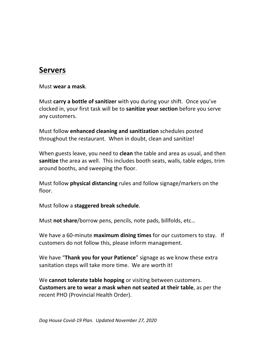#### **Servers**

Must **wear a mask**.

Must **carry a bottle of sanitizer** with you during your shift. Once you've clocked in, your first task will be to **sanitize your section** before you serve any customers.

Must follow **enhanced cleaning and sanitization** schedules posted throughout the restaurant. When in doubt, clean and sanitize!

When guests leave, you need to **clean** the table and area as usual, and then **sanitize** the area as well. This includes booth seats, walls, table edges, trim around booths, and sweeping the floor.

Must follow **physical distancing** rules and follow signage/markers on the floor.

Must follow a **staggered break schedule**.

Must **not share**/borrow pens, pencils, note pads, billfolds, etc...

We have a 60-minute **maximum dining times** for our customers to stay. If customers do not follow this, please inform management.

We have "Thank you for your Patience" signage as we know these extra sanitation steps will take more time. We are worth it!

We **cannot tolerate table hopping** or visiting between customers. **Customers are to wear a mask when not seated at their table**, as per the recent PHO (Provincial Health Order).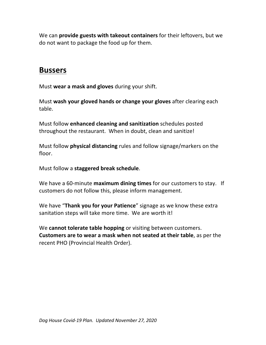We can **provide guests with takeout containers** for their leftovers, but we do not want to package the food up for them.

#### **Bussers**

Must wear a mask and gloves during your shift.

Must wash your gloved hands or change your gloves after clearing each table.

Must follow **enhanced cleaning and sanitization** schedules posted throughout the restaurant. When in doubt, clean and sanitize!

Must follow **physical distancing** rules and follow signage/markers on the floor.

Must follow a **staggered break schedule**.

We have a 60-minute **maximum dining times** for our customers to stay. If customers do not follow this, please inform management.

We have "Thank you for your Patience" signage as we know these extra sanitation steps will take more time. We are worth it!

We **cannot tolerate table hopping** or visiting between customers. **Customers are to wear a mask when not seated at their table**, as per the recent PHO (Provincial Health Order).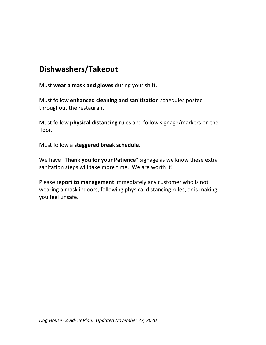## **Dishwashers/Takeout**

Must wear a mask and gloves during your shift.

Must follow **enhanced cleaning and sanitization** schedules posted throughout the restaurant.

Must follow **physical distancing** rules and follow signage/markers on the floor.

Must follow a staggered break schedule.

We have "Thank you for your Patience" signage as we know these extra sanitation steps will take more time. We are worth it!

Please **report to management** immediately any customer who is not wearing a mask indoors, following physical distancing rules, or is making you feel unsafe.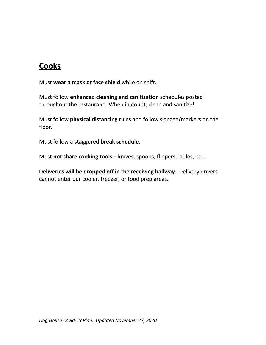## **Cooks**

Must wear a mask or face shield while on shift.

Must follow **enhanced cleaning and sanitization** schedules posted throughout the restaurant. When in doubt, clean and sanitize!

Must follow **physical distancing** rules and follow signage/markers on the floor.

Must follow a **staggered break schedule**.

Must not share cooking tools – knives, spoons, flippers, ladles, etc...

**Deliveries will be dropped off in the receiving hallway**. Delivery drivers cannot enter our cooler, freezer, or food prep areas.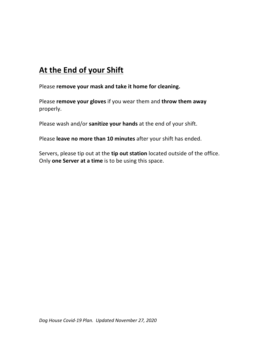## **At the End of your Shift**

Please remove your mask and take it home for cleaning.

Please **remove your gloves** if you wear them and **throw them away** properly.

Please wash and/or **sanitize your hands** at the end of your shift.

Please leave no more than 10 minutes after your shift has ended.

Servers, please tip out at the **tip out station** located outside of the office. Only **one Server at a time** is to be using this space.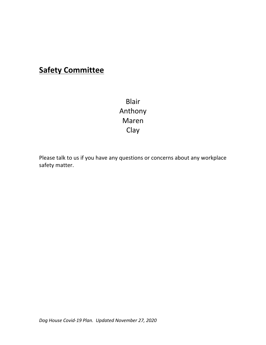### **Safety Committee**

Blair Anthony Maren Clay

Please talk to us if you have any questions or concerns about any workplace safety matter.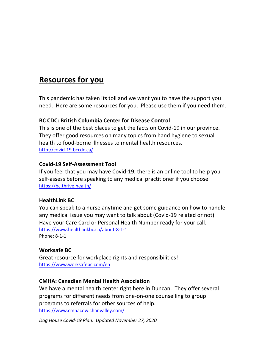#### **Resources for you**

This pandemic has taken its toll and we want you to have the support you need. Here are some resources for you. Please use them if you need them.

#### **BC CDC: British Columbia Center for Disease Control**

This is one of the best places to get the facts on Covid-19 in our province. They offer good resources on many topics from hand hygiene to sexual health to food-borne illnesses to mental health resources. http://covid-19.bccdc.ca/

#### **Covid-19 Self-Assessment Tool**

If you feel that you may have Covid-19, there is an online tool to help you self-assess before speaking to any medical practitioner if you choose. https://bc.thrive.health/

#### **HealthLink BC**

You can speak to a nurse anytime and get some guidance on how to handle any medical issue you may want to talk about (Covid-19 related or not). Have your Care Card or Personal Health Number ready for your call. https://www.healthlinkbc.ca/about-8-1-1 Phone: 8-1-1

#### **Worksafe BC**

Great resource for workplace rights and responsibilities! https://www.worksafebc.com/en

#### **CMHA: Canadian Mental Health Association**

We have a mental health center right here in Duncan. They offer several programs for different needs from one-on-one counselling to group programs to referrals for other sources of help. https://www.cmhacowichanvalley.com/

*Dog House Covid-19 Plan. Updated November 27, 2020*